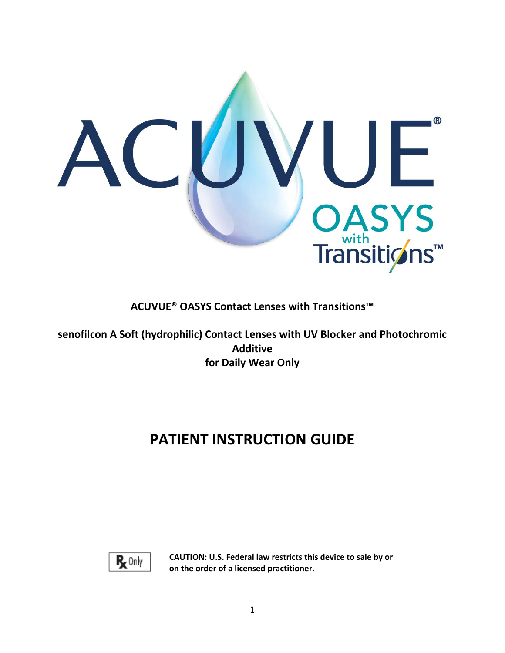

**ACUVUE® OASYS Contact Lenses with Transitions™** 

**senofilcon A Soft (hydrophilic) Contact Lenses with UV Blocker and Photochromic Additive for Daily Wear Only** 

# **PATIENT INSTRUCTION GUIDE**



**CAUTION: U.S. Federal law restricts this device to sale by or on the order of a licensed practitioner.**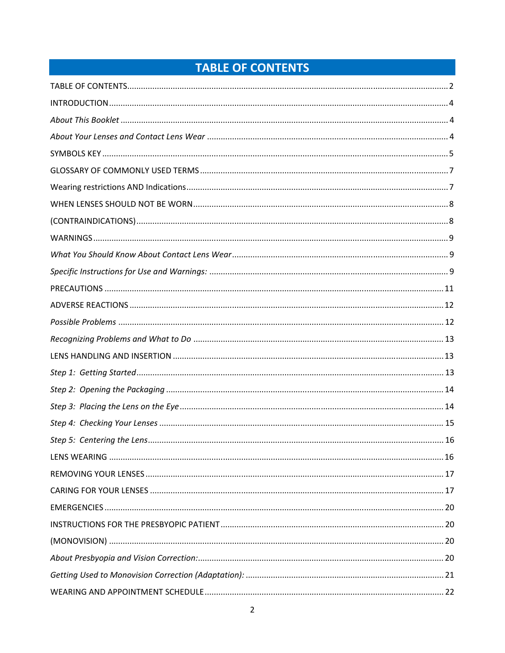# TABLE OF CONTENTS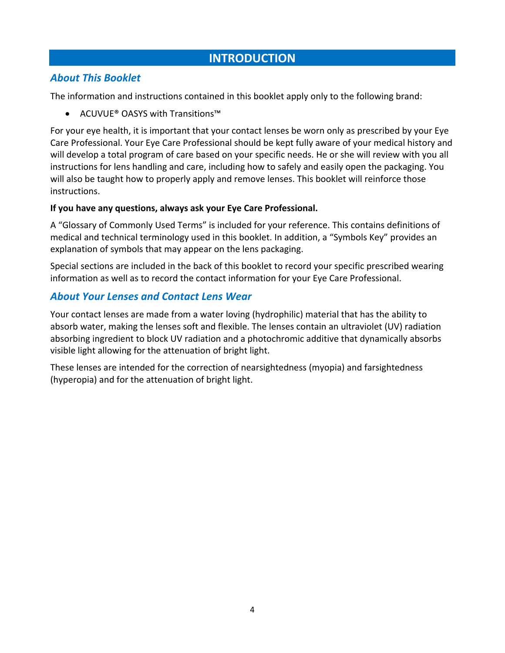# **INTRODUCTION**

## *About This Booklet*

The information and instructions contained in this booklet apply only to the following brand:

ACUVUE® OASYS with Transitions™

For your eye health, it is important that your contact lenses be worn only as prescribed by your Eye Care Professional. Your Eye Care Professional should be kept fully aware of your medical history and will develop a total program of care based on your specific needs. He or she will review with you all instructions for lens handling and care, including how to safely and easily open the packaging. You will also be taught how to properly apply and remove lenses. This booklet will reinforce those instructions.

## **If you have any questions, always ask your Eye Care Professional.**

A "Glossary of Commonly Used Terms" is included for your reference. This contains definitions of medical and technical terminology used in this booklet. In addition, a "Symbols Key" provides an explanation of symbols that may appear on the lens packaging.

Special sections are included in the back of this booklet to record your specific prescribed wearing information as well as to record the contact information for your Eye Care Professional.

# *About Your Lenses and Contact Lens Wear*

Your contact lenses are made from a water loving (hydrophilic) material that has the ability to absorb water, making the lenses soft and flexible. The lenses contain an ultraviolet (UV) radiation absorbing ingredient to block UV radiation and a photochromic additive that dynamically absorbs visible light allowing for the attenuation of bright light.

These lenses are intended for the correction of nearsightedness (myopia) and farsightedness (hyperopia) and for the attenuation of bright light.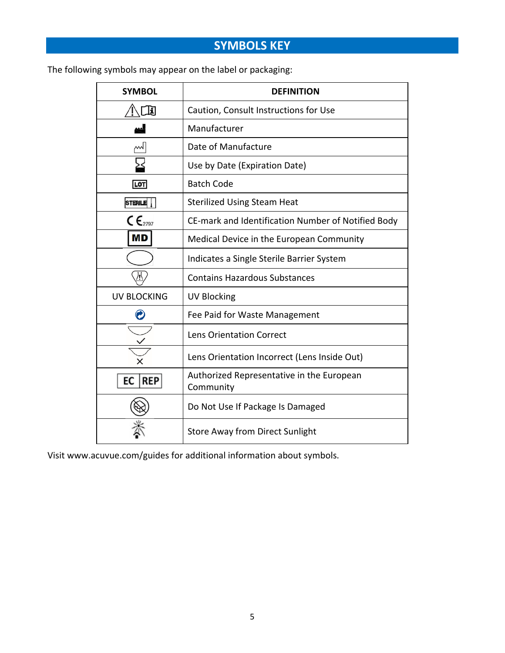# **SYMBOLS KEY**

The following symbols may appear on the label or packaging:

| <b>SYMBOL</b>                            | <b>DEFINITION</b>                                      |
|------------------------------------------|--------------------------------------------------------|
| E                                        | Caution, Consult Instructions for Use                  |
|                                          | Manufacturer                                           |
| M                                        | Date of Manufacture                                    |
|                                          | Use by Date (Expiration Date)                          |
| LOT                                      | <b>Batch Code</b>                                      |
| <b>STERILE</b>                           | <b>Sterilized Using Steam Heat</b>                     |
| $\mathsf{C}\,\mathsf{E}_{\mathsf{2797}}$ | CE-mark and Identification Number of Notified Body     |
| <b>MD</b>                                | Medical Device in the European Community               |
|                                          | Indicates a Single Sterile Barrier System              |
| 八                                        | <b>Contains Hazardous Substances</b>                   |
| <b>UV BLOCKING</b>                       | <b>UV Blocking</b>                                     |
|                                          | Fee Paid for Waste Management                          |
|                                          | <b>Lens Orientation Correct</b>                        |
|                                          | Lens Orientation Incorrect (Lens Inside Out)           |
| ЕC<br>REP                                | Authorized Representative in the European<br>Community |
|                                          | Do Not Use If Package Is Damaged                       |
|                                          | <b>Store Away from Direct Sunlight</b>                 |

Visit www.acuvue.com/guides for additional information about symbols.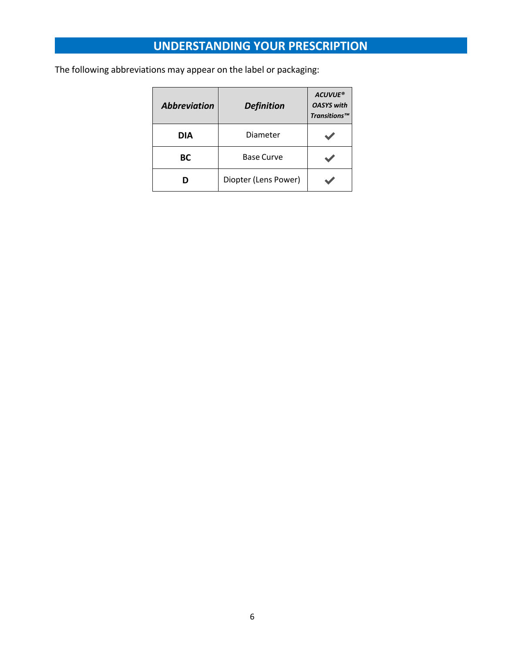# **UNDERSTANDING YOUR PRESCRIPTION**

The following abbreviations may appear on the label or packaging:

| <b>Abbreviation</b> | <b>Definition</b>    | <b>ACUVUE®</b><br><b>OASYS with</b><br>Transitions™ |
|---------------------|----------------------|-----------------------------------------------------|
| DIA                 | Diameter             |                                                     |
| BС                  | <b>Base Curve</b>    |                                                     |
|                     | Diopter (Lens Power) |                                                     |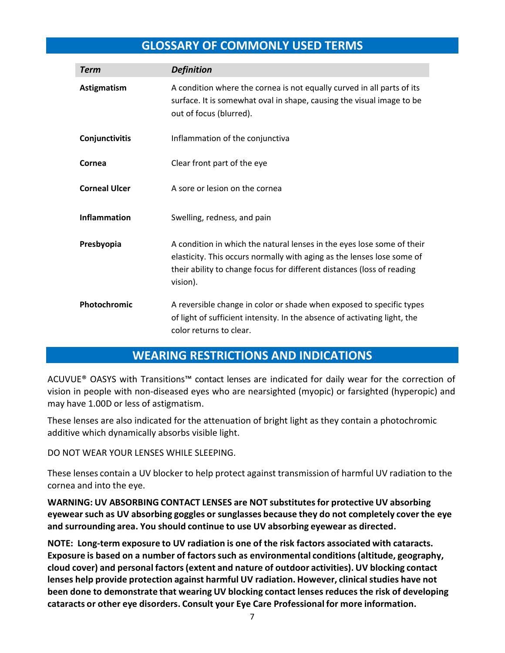# **GLOSSARY OF COMMONLY USED TERMS**

| <b>Term</b>          | <b>Definition</b>                                                                                                                                                                                                                      |
|----------------------|----------------------------------------------------------------------------------------------------------------------------------------------------------------------------------------------------------------------------------------|
| Astigmatism          | A condition where the cornea is not equally curved in all parts of its<br>surface. It is somewhat oval in shape, causing the visual image to be<br>out of focus (blurred).                                                             |
| Conjunctivitis       | Inflammation of the conjunctiva                                                                                                                                                                                                        |
| Cornea               | Clear front part of the eye                                                                                                                                                                                                            |
| <b>Corneal Ulcer</b> | A sore or lesion on the cornea                                                                                                                                                                                                         |
| <b>Inflammation</b>  | Swelling, redness, and pain                                                                                                                                                                                                            |
| Presbyopia           | A condition in which the natural lenses in the eyes lose some of their<br>elasticity. This occurs normally with aging as the lenses lose some of<br>their ability to change focus for different distances (loss of reading<br>vision). |
| Photochromic         | A reversible change in color or shade when exposed to specific types<br>of light of sufficient intensity. In the absence of activating light, the<br>color returns to clear.                                                           |

# **WEARING RESTRICTIONS AND INDICATIONS**

ACUVUE® OASYS with Transitions™ contact lenses are indicated for daily wear for the correction of vision in people with non‐diseased eyes who are nearsighted (myopic) or farsighted (hyperopic) and may have 1.00D or less of astigmatism.

These lenses are also indicated for the attenuation of bright light as they contain a photochromic additive which dynamically absorbs visible light.

DO NOT WEAR YOUR LENSES WHILE SLEEPING.

These lenses contain a UV blocker to help protect against transmission of harmful UV radiation to the cornea and into the eye.

**WARNING: UV ABSORBING CONTACT LENSES are NOT substitutes for protective UV absorbing eyewear such as UV absorbing goggles or sunglasses because they do not completely cover the eye and surrounding area. You should continue to use UV absorbing eyewear as directed.**

**NOTE: Long‐term exposure to UV radiation is one of the risk factors associated with cataracts. Exposure is based on a number of factors such as environmental conditions (altitude, geography, cloud cover) and personal factors (extent and nature of outdoor activities). UV blocking contact lenses help provide protection against harmful UV radiation. However, clinical studies have not been done to demonstrate that wearing UV blocking contact lenses reduces the risk of developing cataracts or other eye disorders. Consult your Eye Care Professional for more information.**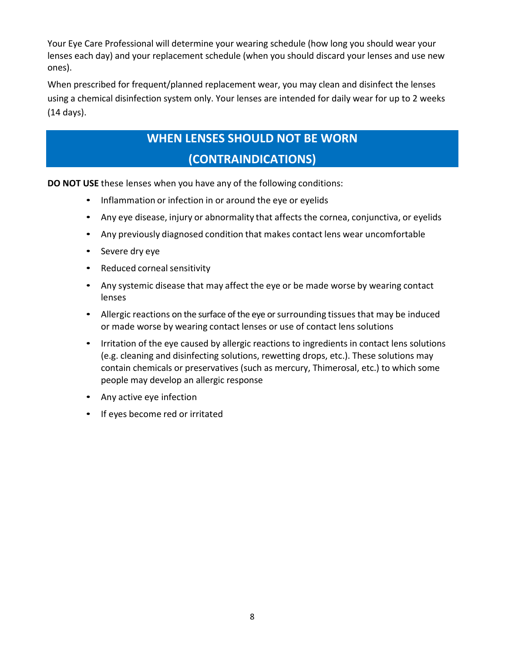Your Eye Care Professional will determine your wearing schedule (how long you should wear your lenses each day) and your replacement schedule (when you should discard your lenses and use new ones).

When prescribed for frequent/planned replacement wear, you may clean and disinfect the lenses using a chemical disinfection system only. Your lenses are intended for daily wear for up to 2 weeks (14 days).

# **WHEN LENSES SHOULD NOT BE WORN (CONTRAINDICATIONS)**

**DO NOT USE** these lenses when you have any of the following conditions:

- Inflammation or infection in or around the eye or eyelids
- Any eye disease, injury or abnormality that affects the cornea, conjunctiva, or eyelids
- Any previously diagnosed condition that makes contact lens wear uncomfortable
- Severe dry eye
- Reduced corneal sensitivity
- Any systemic disease that may affect the eye or be made worse by wearing contact lenses
- Allergic reactions on the surface of the eye or surrounding tissues that may be induced or made worse by wearing contact lenses or use of contact lens solutions
- Irritation of the eye caused by allergic reactions to ingredients in contact lens solutions (e.g. cleaning and disinfecting solutions, rewetting drops, etc.). These solutions may contain chemicals or preservatives (such as mercury, Thimerosal, etc.) to which some people may develop an allergic response
- Any active eye infection
- If eyes become red or irritated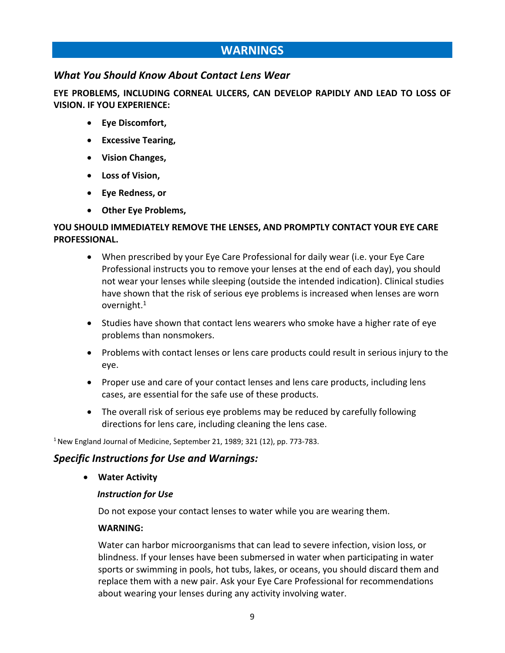# **WARNINGS**

## *What You Should Know About Contact Lens Wear*

**EYE PROBLEMS, INCLUDING CORNEAL ULCERS, CAN DEVELOP RAPIDLY AND LEAD TO LOSS OF VISION. IF YOU EXPERIENCE:** 

- **Eye Discomfort,**
- **Excessive Tearing,**
- **Vision Changes,**
- **Loss of Vision,**
- **Eye Redness, or**
- **Other Eye Problems,**

## **YOU SHOULD IMMEDIATELY REMOVE THE LENSES, AND PROMPTLY CONTACT YOUR EYE CARE PROFESSIONAL.**

- When prescribed by your Eye Care Professional for daily wear (i.e. your Eye Care Professional instructs you to remove your lenses at the end of each day), you should not wear your lenses while sleeping (outside the intended indication). Clinical studies have shown that the risk of serious eye problems is increased when lenses are worn overnight.1
- Studies have shown that contact lens wearers who smoke have a higher rate of eye problems than nonsmokers.
- Problems with contact lenses or lens care products could result in serious injury to the eye.
- Proper use and care of your contact lenses and lens care products, including lens cases, are essential for the safe use of these products.
- The overall risk of serious eye problems may be reduced by carefully following directions for lens care, including cleaning the lens case.

1 New England Journal of Medicine, September 21, 1989; 321 (12), pp. 773‐783.

## *Specific Instructions for Use and Warnings:*

**Water Activity** 

#### *Instruction for Use*

Do not expose your contact lenses to water while you are wearing them.

#### **WARNING:**

Water can harbor microorganisms that can lead to severe infection, vision loss, or blindness. If your lenses have been submersed in water when participating in water sports or swimming in pools, hot tubs, lakes, or oceans, you should discard them and replace them with a new pair. Ask your Eye Care Professional for recommendations about wearing your lenses during any activity involving water.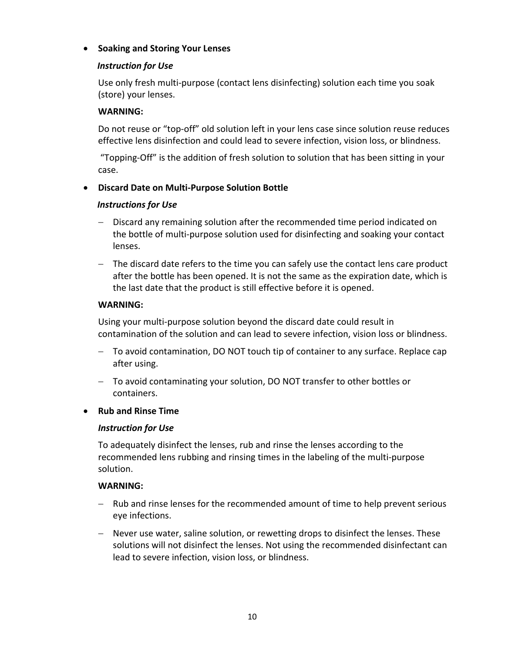### **Soaking and Storing Your Lenses**

### *Instruction for Use*

 Use only fresh multi‐purpose (contact lens disinfecting) solution each time you soak (store) your lenses.

#### **WARNING:**

Do not reuse or "top‐off" old solution left in your lens case since solution reuse reduces effective lens disinfection and could lead to severe infection, vision loss, or blindness.

 "Topping‐Off" is the addition of fresh solution to solution that has been sitting in your case.

### **Discard Date on Multi‐Purpose Solution Bottle**

#### *Instructions for Use*

- Discard any remaining solution after the recommended time period indicated on the bottle of multi‐purpose solution used for disinfecting and soaking your contact lenses.
- The discard date refers to the time you can safely use the contact lens care product after the bottle has been opened. It is not the same as the expiration date, which is the last date that the product is still effective before it is opened.

#### **WARNING:**

Using your multi‐purpose solution beyond the discard date could result in contamination of the solution and can lead to severe infection, vision loss or blindness.

- To avoid contamination, DO NOT touch tip of container to any surface. Replace cap after using.
- To avoid contaminating your solution, DO NOT transfer to other bottles or containers.

#### **Rub and Rinse Time**

#### *Instruction for Use*

To adequately disinfect the lenses, rub and rinse the lenses according to the recommended lens rubbing and rinsing times in the labeling of the multi‐purpose solution.

#### **WARNING:**

- Rub and rinse lenses for the recommended amount of time to help prevent serious eye infections.
- Never use water, saline solution, or rewetting drops to disinfect the lenses. These solutions will not disinfect the lenses. Not using the recommended disinfectant can lead to severe infection, vision loss, or blindness.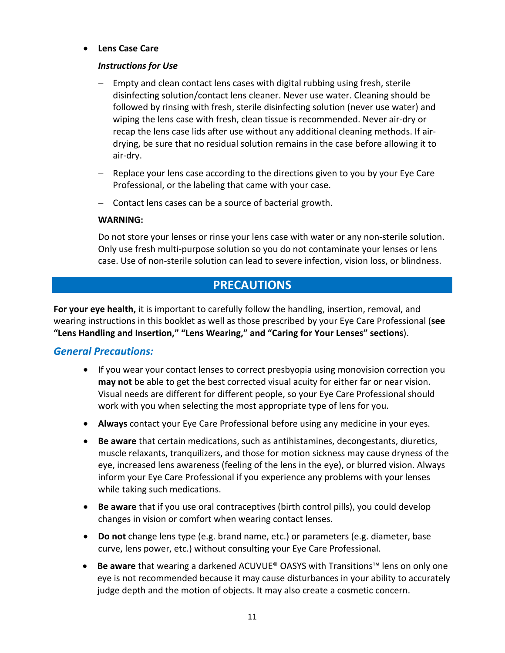### **Lens Case Care**

### *Instructions for Use*

- Empty and clean contact lens cases with digital rubbing using fresh, sterile disinfecting solution/contact lens cleaner. Never use water. Cleaning should be followed by rinsing with fresh, sterile disinfecting solution (never use water) and wiping the lens case with fresh, clean tissue is recommended. Never air‐dry or recap the lens case lids after use without any additional cleaning methods. If air‐ drying, be sure that no residual solution remains in the case before allowing it to air‐dry.
- Replace your lens case according to the directions given to you by your Eye Care Professional, or the labeling that came with your case.
- $-$  Contact lens cases can be a source of bacterial growth.

#### **WARNING:**

Do not store your lenses or rinse your lens case with water or any non-sterile solution. Only use fresh multi‐purpose solution so you do not contaminate your lenses or lens case. Use of non‐sterile solution can lead to severe infection, vision loss, or blindness.

# **PRECAUTIONS**

**For your eye health,** it is important to carefully follow the handling, insertion, removal, and wearing instructions in this booklet as well as those prescribed by your Eye Care Professional (**see "Lens Handling and Insertion," "Lens Wearing," and "Caring for Your Lenses" sections**).

## *General Precautions:*

- If you wear your contact lenses to correct presbyopia using monovision correction you **may not** be able to get the best corrected visual acuity for either far or near vision. Visual needs are different for different people, so your Eye Care Professional should work with you when selecting the most appropriate type of lens for you.
- **Always** contact your Eye Care Professional before using any medicine in your eyes.
- **Be aware** that certain medications, such as antihistamines, decongestants, diuretics, muscle relaxants, tranquilizers, and those for motion sickness may cause dryness of the eye, increased lens awareness (feeling of the lens in the eye), or blurred vision. Always inform your Eye Care Professional if you experience any problems with your lenses while taking such medications.
- **Be aware** that if you use oral contraceptives (birth control pills), you could develop changes in vision or comfort when wearing contact lenses.
- **Do not** change lens type (e.g. brand name, etc.) or parameters (e.g. diameter, base curve, lens power, etc.) without consulting your Eye Care Professional.
- **Be aware** that wearing a darkened ACUVUE® OASYS with Transitions™ lens on only one eye is not recommended because it may cause disturbances in your ability to accurately judge depth and the motion of objects. It may also create a cosmetic concern.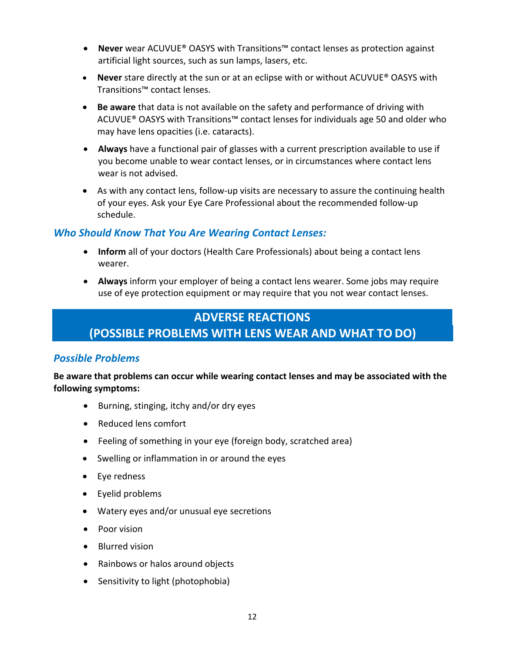- **Never** wear ACUVUE® OASYS with Transitions™ contact lenses as protection against artificial light sources, such as sun lamps, lasers, etc.
- **Never** stare directly at the sun or at an eclipse with or without ACUVUE® OASYS with Transitions™ contact lenses.
- **Be aware** that data is not available on the safety and performance of driving with ACUVUE® OASYS with Transitions™ contact lenses for individuals age 50 and older who may have lens opacities (i.e. cataracts).
- **Always** have a functional pair of glasses with a current prescription available to use if you become unable to wear contact lenses, or in circumstances where contact lens wear is not advised.
- As with any contact lens, follow‐up visits are necessary to assure the continuing health of your eyes. Ask your Eye Care Professional about the recommended follow‐up schedule.

## *Who Should Know That You Are Wearing Contact Lenses:*

- **Inform** all of your doctors (Health Care Professionals) about being a contact lens wearer.
- **Always** inform your employer of being a contact lens wearer. Some jobs may require use of eye protection equipment or may require that you not wear contact lenses.

# **ADVERSE REACTIONS (POSSIBLE PROBLEMS WITH LENS WEAR AND WHAT TO DO)**

### *Possible Problems*

**Be aware that problems can occur while wearing contact lenses and may be associated with the following symptoms:** 

- Burning, stinging, itchy and/or dry eyes
- Reduced lens comfort
- Feeling of something in your eye (foreign body, scratched area)
- Swelling or inflammation in or around the eyes
- Eye redness
- Eyelid problems
- Watery eyes and/or unusual eye secretions
- Poor vision
- Blurred vision
- Rainbows or halos around objects
- Sensitivity to light (photophobia)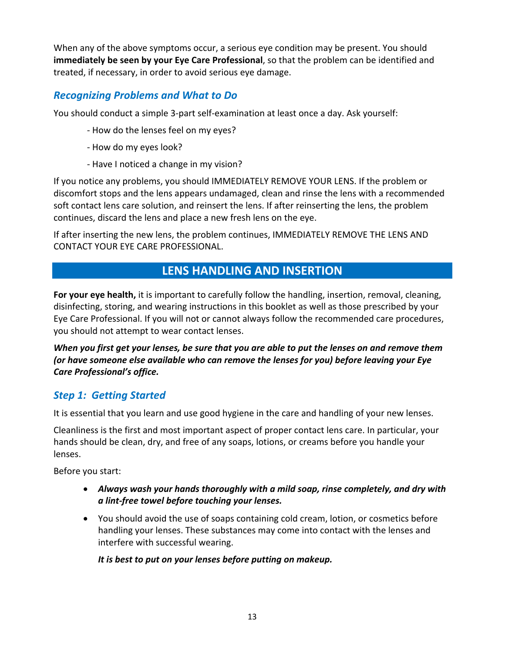When any of the above symptoms occur, a serious eye condition may be present. You should **immediately be seen by your Eye Care Professional**, so that the problem can be identified and treated, if necessary, in order to avoid serious eye damage.

# *Recognizing Problems and What to Do*

You should conduct a simple 3‐part self‐examination at least once a day. Ask yourself:

- ‐ How do the lenses feel on my eyes?
- ‐ How do my eyes look?
- ‐ Have I noticed a change in my vision?

If you notice any problems, you should IMMEDIATELY REMOVE YOUR LENS. If the problem or discomfort stops and the lens appears undamaged, clean and rinse the lens with a recommended soft contact lens care solution, and reinsert the lens. If after reinserting the lens, the problem continues, discard the lens and place a new fresh lens on the eye.

If after inserting the new lens, the problem continues, IMMEDIATELY REMOVE THE LENS AND CONTACT YOUR EYE CARE PROFESSIONAL.

# **LENS HANDLING AND INSERTION**

**For your eye health,** it is important to carefully follow the handling, insertion, removal, cleaning, disinfecting, storing, and wearing instructions in this booklet as well as those prescribed by your Eye Care Professional. If you will not or cannot always follow the recommended care procedures, you should not attempt to wear contact lenses.

*When you first get your lenses, be sure that you are able to put the lenses on and remove them (or have someone else available who can remove the lenses for you) before leaving your Eye Care Professional's office.* 

# *Step 1: Getting Started*

It is essential that you learn and use good hygiene in the care and handling of your new lenses.

Cleanliness is the first and most important aspect of proper contact lens care. In particular, your hands should be clean, dry, and free of any soaps, lotions, or creams before you handle your lenses.

Before you start:

- *Always wash your hands thoroughly with a mild soap, rinse completely, and dry with a lint‐free towel before touching your lenses.*
- You should avoid the use of soaps containing cold cream, lotion, or cosmetics before handling your lenses. These substances may come into contact with the lenses and interfere with successful wearing.

*It is best to put on your lenses before putting on makeup.*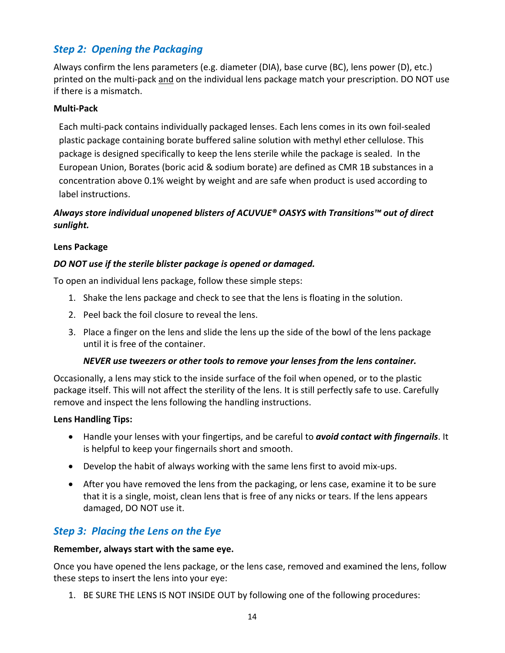# *Step 2: Opening the Packaging*

Always confirm the lens parameters (e.g. diameter (DIA), base curve (BC), lens power (D), etc.) printed on the multi‐pack and on the individual lens package match your prescription. DO NOT use if there is a mismatch.

### **Multi‐Pack**

Each multi‐pack contains individually packaged lenses. Each lens comes in its own foil‐sealed plastic package containing borate buffered saline solution with methyl ether cellulose. This package is designed specifically to keep the lens sterile while the package is sealed. In the European Union, Borates (boric acid & sodium borate) are defined as CMR 1B substances in a concentration above 0.1% weight by weight and are safe when product is used according to label instructions.

## *Always store individual unopened blisters of ACUVUE® OASYS with Transitions™ out of direct sunlight.*

### **Lens Package**

### *DO NOT use if the sterile blister package is opened or damaged.*

To open an individual lens package, follow these simple steps:

- 1. Shake the lens package and check to see that the lens is floating in the solution.
- 2. Peel back the foil closure to reveal the lens.
- 3. Place a finger on the lens and slide the lens up the side of the bowl of the lens package until it is free of the container.

#### *NEVER use tweezers or other tools to remove your lenses from the lens container.*

Occasionally, a lens may stick to the inside surface of the foil when opened, or to the plastic package itself. This will not affect the sterility of the lens. It is still perfectly safe to use. Carefully remove and inspect the lens following the handling instructions.

#### **Lens Handling Tips:**

- Handle your lenses with your fingertips, and be careful to *avoid contact with fingernails*. It is helpful to keep your fingernails short and smooth.
- Develop the habit of always working with the same lens first to avoid mix‐ups.
- After you have removed the lens from the packaging, or lens case, examine it to be sure that it is a single, moist, clean lens that is free of any nicks or tears. If the lens appears damaged, DO NOT use it.

# *Step 3: Placing the Lens on the Eye*

#### **Remember, always start with the same eye.**

Once you have opened the lens package, or the lens case, removed and examined the lens, follow these steps to insert the lens into your eye:

1. BE SURE THE LENS IS NOT INSIDE OUT by following one of the following procedures: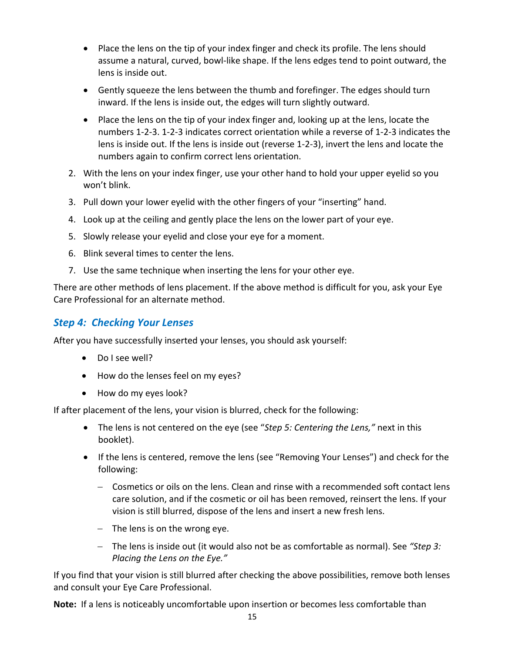- Place the lens on the tip of your index finger and check its profile. The lens should assume a natural, curved, bowl‐like shape. If the lens edges tend to point outward, the lens is inside out.
- Gently squeeze the lens between the thumb and forefinger. The edges should turn inward. If the lens is inside out, the edges will turn slightly outward.
- Place the lens on the tip of your index finger and, looking up at the lens, locate the numbers 1‐2‐3. 1‐2‐3 indicates correct orientation while a reverse of 1‐2‐3 indicates the lens is inside out. If the lens is inside out (reverse 1‐2‐3), invert the lens and locate the numbers again to confirm correct lens orientation.
- 2. With the lens on your index finger, use your other hand to hold your upper eyelid so you won't blink.
- 3. Pull down your lower eyelid with the other fingers of your "inserting" hand.
- 4. Look up at the ceiling and gently place the lens on the lower part of your eye.
- 5. Slowly release your eyelid and close your eye for a moment.
- 6. Blink several times to center the lens.
- 7. Use the same technique when inserting the lens for your other eye.

There are other methods of lens placement. If the above method is difficult for you, ask your Eye Care Professional for an alternate method.

# *Step 4: Checking Your Lenses*

After you have successfully inserted your lenses, you should ask yourself:

- Do I see well?
- How do the lenses feel on my eyes?
- How do my eyes look?

If after placement of the lens, your vision is blurred, check for the following:

- The lens is not centered on the eye (see "*Step 5: Centering the Lens,"* next in this booklet).
- If the lens is centered, remove the lens (see "Removing Your Lenses") and check for the following:
	- Cosmetics or oils on the lens. Clean and rinse with a recommended soft contact lens care solution, and if the cosmetic or oil has been removed, reinsert the lens. If your vision is still blurred, dispose of the lens and insert a new fresh lens.
	- $-$  The lens is on the wrong eye.
	- The lens is inside out (it would also not be as comfortable as normal). See *"Step 3: Placing the Lens on the Eye."*

If you find that your vision is still blurred after checking the above possibilities, remove both lenses and consult your Eye Care Professional.

**Note:** If a lens is noticeably uncomfortable upon insertion or becomes less comfortable than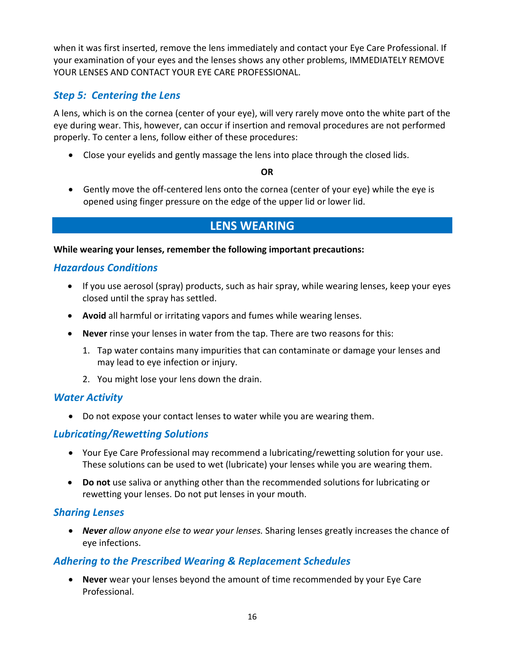when it was first inserted, remove the lens immediately and contact your Eye Care Professional. If your examination of your eyes and the lenses shows any other problems, IMMEDIATELY REMOVE YOUR LENSES AND CONTACT YOUR EYE CARE PROFESSIONAL.

# *Step 5: Centering the Lens*

A lens, which is on the cornea (center of your eye), will very rarely move onto the white part of the eye during wear. This, however, can occur if insertion and removal procedures are not performed properly. To center a lens, follow either of these procedures:

Close your eyelids and gently massage the lens into place through the closed lids.

### **OR**

 Gently move the off‐centered lens onto the cornea (center of your eye) while the eye is opened using finger pressure on the edge of the upper lid or lower lid.

# **LENS WEARING**

**While wearing your lenses, remember the following important precautions:** 

## *Hazardous Conditions*

- If you use aerosol (spray) products, such as hair spray, while wearing lenses, keep your eyes closed until the spray has settled.
- **Avoid** all harmful or irritating vapors and fumes while wearing lenses.
- **Never** rinse your lenses in water from the tap. There are two reasons for this:
	- 1. Tap water contains many impurities that can contaminate or damage your lenses and may lead to eye infection or injury.
	- 2. You might lose your lens down the drain.

## *Water Activity*

Do not expose your contact lenses to water while you are wearing them.

## *Lubricating/Rewetting Solutions*

- Your Eye Care Professional may recommend a lubricating/rewetting solution for your use. These solutions can be used to wet (lubricate) your lenses while you are wearing them.
- **Do not** use saliva or anything other than the recommended solutions for lubricating or rewetting your lenses. Do not put lenses in your mouth.

## *Sharing Lenses*

 *Never allow anyone else to wear your lenses.* Sharing lenses greatly increases the chance of eye infections.

## *Adhering to the Prescribed Wearing & Replacement Schedules*

 **Never** wear your lenses beyond the amount of time recommended by your Eye Care Professional.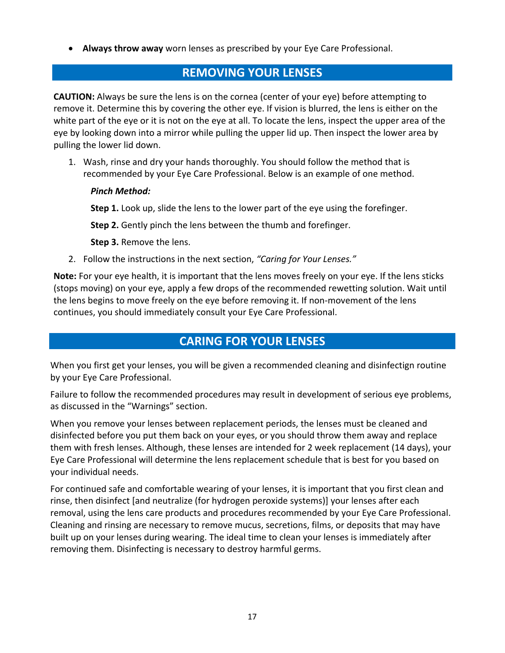**Always throw away** worn lenses as prescribed by your Eye Care Professional.

## **REMOVING YOUR LENSES**

**CAUTION:** Always be sure the lens is on the cornea (center of your eye) before attempting to remove it. Determine this by covering the other eye. If vision is blurred, the lens is either on the white part of the eye or it is not on the eye at all. To locate the lens, inspect the upper area of the eye by looking down into a mirror while pulling the upper lid up. Then inspect the lower area by pulling the lower lid down.

1. Wash, rinse and dry your hands thoroughly. You should follow the method that is recommended by your Eye Care Professional. Below is an example of one method.

### *Pinch Method:*

**Step 1.** Look up, slide the lens to the lower part of the eye using the forefinger.

**Step 2.** Gently pinch the lens between the thumb and forefinger.

**Step 3.** Remove the lens.

2. Follow the instructions in the next section, *"Caring for Your Lenses."*

**Note:** For your eye health, it is important that the lens moves freely on your eye. If the lens sticks (stops moving) on your eye, apply a few drops of the recommended rewetting solution. Wait until the lens begins to move freely on the eye before removing it. If non-movement of the lens continues, you should immediately consult your Eye Care Professional.

# **CARING FOR YOUR LENSES**

When you first get your lenses, you will be given a recommended cleaning and disinfectign routine by your Eye Care Professional.

Failure to follow the recommended procedures may result in development of serious eye problems, as discussed in the "Warnings" section.

When you remove your lenses between replacement periods, the lenses must be cleaned and disinfected before you put them back on your eyes, or you should throw them away and replace them with fresh lenses. Although, these lenses are intended for 2 week replacement (14 days), your Eye Care Professional will determine the lens replacement schedule that is best for you based on your individual needs.

For continued safe and comfortable wearing of your lenses, it is important that you first clean and rinse, then disinfect [and neutralize (for hydrogen peroxide systems)] your lenses after each removal, using the lens care products and procedures recommended by your Eye Care Professional. Cleaning and rinsing are necessary to remove mucus, secretions, films, or deposits that may have built up on your lenses during wearing. The ideal time to clean your lenses is immediately after removing them. Disinfecting is necessary to destroy harmful germs.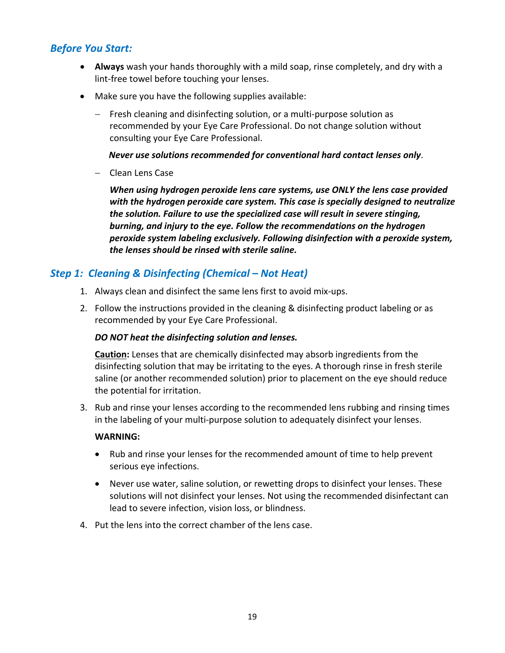## *Before You Start:*

- **Always** wash your hands thoroughly with a mild soap, rinse completely, and dry with a lint‐free towel before touching your lenses.
- Make sure you have the following supplies available:
	- Fresh cleaning and disinfecting solution, or a multi‐purpose solution as recommended by your Eye Care Professional. Do not change solution without consulting your Eye Care Professional.

*Never use solutions recommended for conventional hard contact lenses only*.

- Clean Lens Case

*When using hydrogen peroxide lens care systems, use ONLY the lens case provided with the hydrogen peroxide care system. This case is specially designed to neutralize the solution. Failure to use the specialized case will result in severe stinging, burning, and injury to the eye. Follow the recommendations on the hydrogen peroxide system labeling exclusively. Following disinfection with a peroxide system, the lenses should be rinsed with sterile saline.* 

## *Step 1: Cleaning & Disinfecting (Chemical – Not Heat)*

- 1. Always clean and disinfect the same lens first to avoid mix‐ups.
- 2. Follow the instructions provided in the cleaning & disinfecting product labeling or as recommended by your Eye Care Professional.

#### *DO NOT heat the disinfecting solution and lenses.*

**Caution:** Lenses that are chemically disinfected may absorb ingredients from the disinfecting solution that may be irritating to the eyes. A thorough rinse in fresh sterile saline (or another recommended solution) prior to placement on the eye should reduce the potential for irritation.

3. Rub and rinse your lenses according to the recommended lens rubbing and rinsing times in the labeling of your multi‐purpose solution to adequately disinfect your lenses.

#### **WARNING:**

- Rub and rinse your lenses for the recommended amount of time to help prevent serious eye infections.
- Never use water, saline solution, or rewetting drops to disinfect your lenses. These solutions will not disinfect your lenses. Not using the recommended disinfectant can lead to severe infection, vision loss, or blindness.
- 4. Put the lens into the correct chamber of the lens case.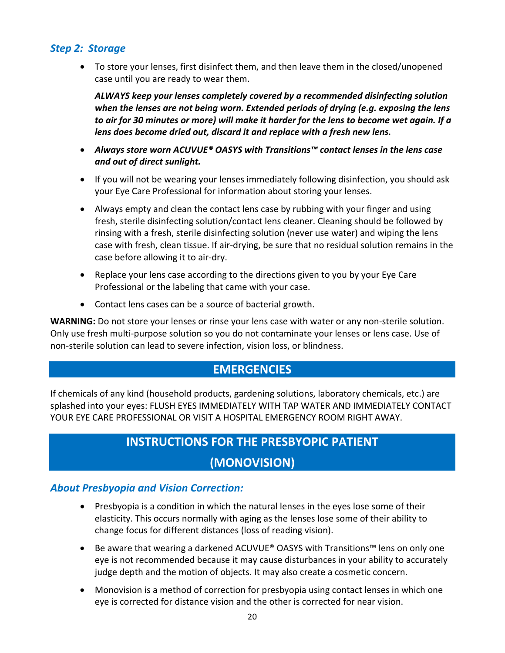## *Step 2: Storage*

 To store your lenses, first disinfect them, and then leave them in the closed/unopened case until you are ready to wear them.

*ALWAYS keep your lenses completely covered by a recommended disinfecting solution when the lenses are not being worn. Extended periods of drying (e.g. exposing the lens to air for 30 minutes or more) will make it harder for the lens to become wet again. If a lens does become dried out, discard it and replace with a fresh new lens.* 

- *Always store worn ACUVUE® OASYS with Transitions™ contact lenses in the lens case and out of direct sunlight.*
- If you will not be wearing your lenses immediately following disinfection, you should ask your Eye Care Professional for information about storing your lenses.
- Always empty and clean the contact lens case by rubbing with your finger and using fresh, sterile disinfecting solution/contact lens cleaner. Cleaning should be followed by rinsing with a fresh, sterile disinfecting solution (never use water) and wiping the lens case with fresh, clean tissue. If air‐drying, be sure that no residual solution remains in the case before allowing it to air‐dry.
- Replace your lens case according to the directions given to you by your Eye Care Professional or the labeling that came with your case.
- Contact lens cases can be a source of bacterial growth.

**WARNING:** Do not store your lenses or rinse your lens case with water or any non‐sterile solution. Only use fresh multi‐purpose solution so you do not contaminate your lenses or lens case. Use of non‐sterile solution can lead to severe infection, vision loss, or blindness.

# **EMERGENCIES**

If chemicals of any kind (household products, gardening solutions, laboratory chemicals, etc.) are splashed into your eyes: FLUSH EYES IMMEDIATELY WITH TAP WATER AND IMMEDIATELY CONTACT YOUR EYE CARE PROFESSIONAL OR VISIT A HOSPITAL EMERGENCY ROOM RIGHT AWAY.

# **INSTRUCTIONS FOR THE PRESBYOPIC PATIENT**

# **(MONOVISION)**

## *About Presbyopia and Vision Correction:*

- Presbyopia is a condition in which the natural lenses in the eyes lose some of their elasticity. This occurs normally with aging as the lenses lose some of their ability to change focus for different distances (loss of reading vision).
- Be aware that wearing a darkened ACUVUE® OASYS with Transitions™ lens on only one eye is not recommended because it may cause disturbances in your ability to accurately judge depth and the motion of objects. It may also create a cosmetic concern.
- Monovision is a method of correction for presbyopia using contact lenses in which one eye is corrected for distance vision and the other is corrected for near vision.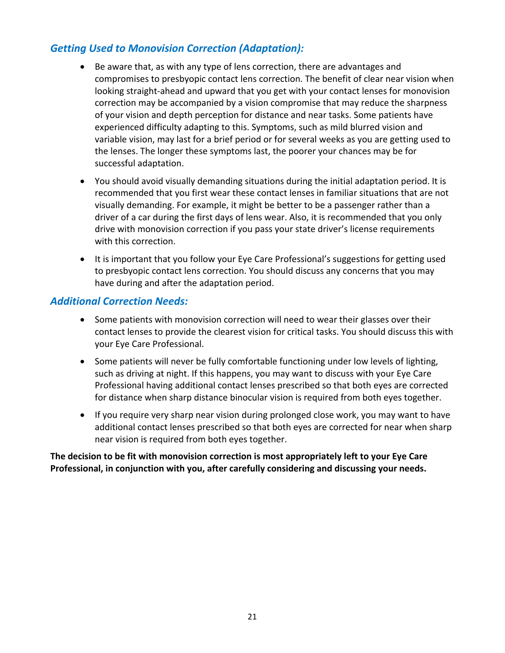# *Getting Used to Monovision Correction (Adaptation):*

- Be aware that, as with any type of lens correction, there are advantages and compromises to presbyopic contact lens correction. The benefit of clear near vision when looking straight‐ahead and upward that you get with your contact lenses for monovision correction may be accompanied by a vision compromise that may reduce the sharpness of your vision and depth perception for distance and near tasks. Some patients have experienced difficulty adapting to this. Symptoms, such as mild blurred vision and variable vision, may last for a brief period or for several weeks as you are getting used to the lenses. The longer these symptoms last, the poorer your chances may be for successful adaptation.
- You should avoid visually demanding situations during the initial adaptation period. It is recommended that you first wear these contact lenses in familiar situations that are not visually demanding. For example, it might be better to be a passenger rather than a driver of a car during the first days of lens wear. Also, it is recommended that you only drive with monovision correction if you pass your state driver's license requirements with this correction.
- It is important that you follow your Eye Care Professional's suggestions for getting used to presbyopic contact lens correction. You should discuss any concerns that you may have during and after the adaptation period.

## *Additional Correction Needs:*

- Some patients with monovision correction will need to wear their glasses over their contact lenses to provide the clearest vision for critical tasks. You should discuss this with your Eye Care Professional.
- Some patients will never be fully comfortable functioning under low levels of lighting, such as driving at night. If this happens, you may want to discuss with your Eye Care Professional having additional contact lenses prescribed so that both eyes are corrected for distance when sharp distance binocular vision is required from both eyes together.
- If you require very sharp near vision during prolonged close work, you may want to have additional contact lenses prescribed so that both eyes are corrected for near when sharp near vision is required from both eyes together.

**The decision to be fit with monovision correction is most appropriately left to your Eye Care Professional, in conjunction with you, after carefully considering and discussing your needs.**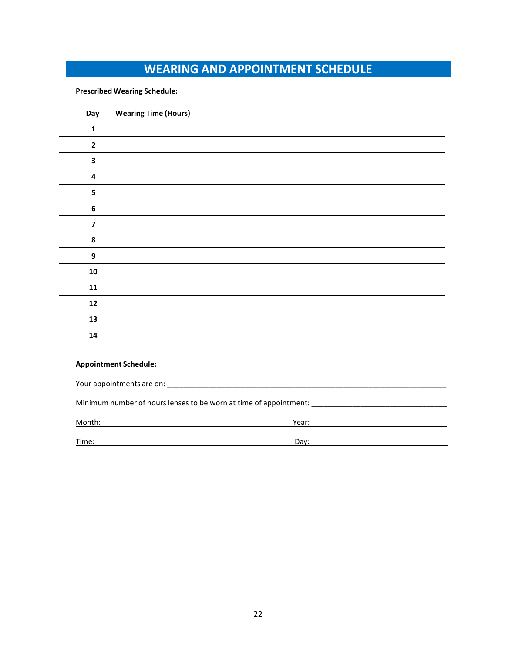# **WEARING AND APPOINTMENT SCHEDULE**

#### **Prescribed Wearing Schedule:**

| Day                     | <b>Wearing Time (Hours)</b> |
|-------------------------|-----------------------------|
| $\mathbf{1}$            |                             |
| $\mathbf{2}$            |                             |
| 3                       |                             |
| $\overline{\mathbf{4}}$ |                             |
| 5                       |                             |
| $\bf 6$                 |                             |
| $\overline{\mathbf{z}}$ |                             |
| ${\bf 8}$               |                             |
| $\boldsymbol{9}$        |                             |
| ${\bf 10}$              |                             |
| ${\bf 11}$              |                             |
| ${\bf 12}$              |                             |
| ${\bf 13}$              |                             |
| ${\bf 14}$              |                             |
|                         |                             |

#### **Appointment Schedule:**

| Minimum number of hours lenses to be worn at time of appointment: |       |  |
|-------------------------------------------------------------------|-------|--|
| Month:                                                            | Year: |  |
| Time:                                                             | Dav:  |  |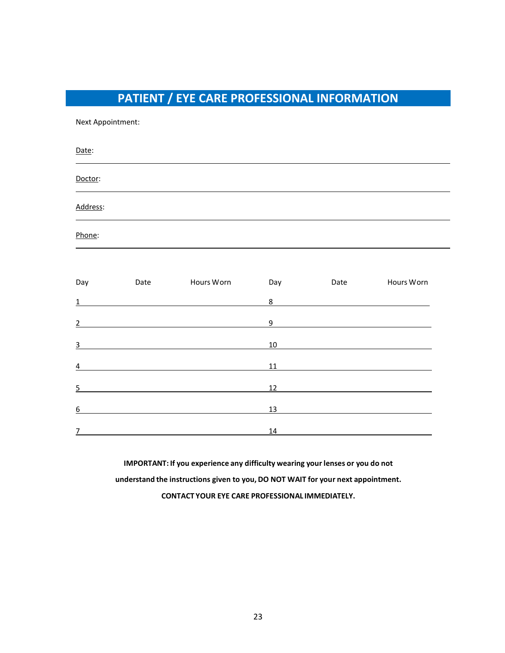# **PATIENT / EYE CARE PROFESSIONAL INFORMATION**

Next Appointment:

Date: Doctor: Address: Phone:

| Day            | Date | Hours Worn | Day | Date | Hours Worn |
|----------------|------|------------|-----|------|------------|
| $\mathbf{1}$   |      |            | 8   |      |            |
| $\overline{2}$ |      |            | 9   |      |            |
| $\overline{3}$ |      |            | 10  |      |            |
| $\overline{a}$ |      |            | 11  |      |            |
| 5              |      |            | 12  |      |            |
| 6              |      |            | 13  |      |            |
| 7              |      |            | 14  |      |            |

**IMPORTANT: If you experience any difficulty wearing your lenses or you do not understand the instructions given to you, DO NOT WAIT for your next appointment. CONTACT YOUR EYE CARE PROFESSIONAL IMMEDIATELY.**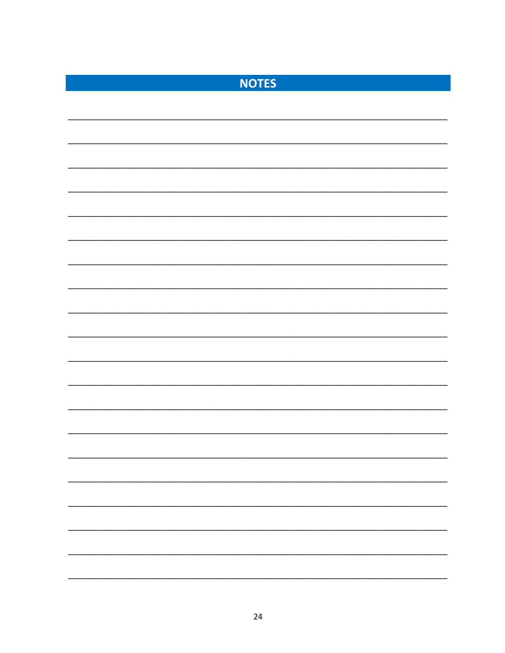| <b>NOTES</b> |  |
|--------------|--|
|              |  |
|              |  |
|              |  |
|              |  |
|              |  |
|              |  |
|              |  |
|              |  |
|              |  |
|              |  |
|              |  |
|              |  |
|              |  |
|              |  |
|              |  |
|              |  |
|              |  |
|              |  |
|              |  |
|              |  |
|              |  |
|              |  |
|              |  |
|              |  |
|              |  |
|              |  |